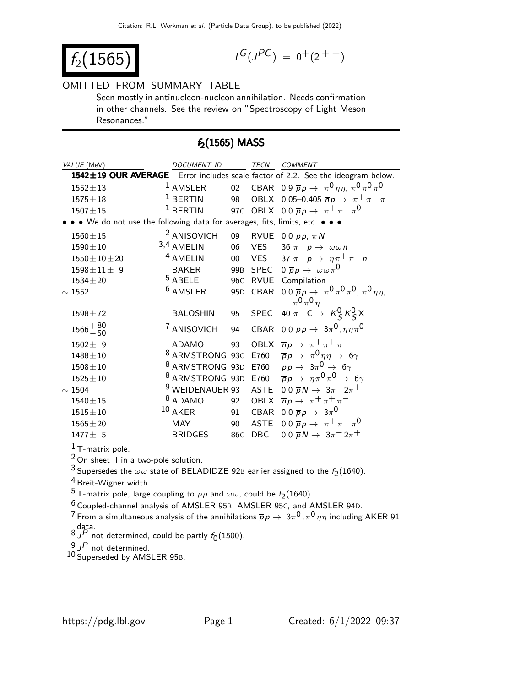$$
f_2(1565) \qquad \qquad \blacksquare
$$

$$
I^G(J^{PC}) = 0^+(2^{++})
$$

#### OMITTED FROM SUMMARY TABLE

Seen mostly in antinucleon-nucleon annihilation. Needs confirmation in other channels. See the review on "Spectroscopy of Light Meson Resonances."

## $f_2(1565)$  MASS

| VALUE (MeV)                                                                 | <b>DOCUMENT ID</b>         |                 | TECN        | COMMENT                                                                                            |
|-----------------------------------------------------------------------------|----------------------------|-----------------|-------------|----------------------------------------------------------------------------------------------------|
|                                                                             |                            |                 |             | 1542±19 OUR AVERAGE Error includes scale factor of 2.2. See the ideogram below.                    |
| $1552 \pm 13$                                                               | <sup>1</sup> AMSLER        |                 |             | 02 CBAR 0.9 $\bar{p}p \to \pi^0 \eta \eta$ , $\pi^0 \pi^0 \pi^0$                                   |
| $1575 \pm 18$                                                               | $1$ BERTIN                 |                 |             | 98 OBLX 0.05-0.405 $\overline{n}p \to \pi^+\pi^+\pi^-$                                             |
| $1507 + 15$                                                                 | $1$ BERTIN                 |                 |             | 97C OBLX 0.0 $\overline{p}p \rightarrow \pi^+\pi^-\pi^0$                                           |
| • • We do not use the following data for averages, fits, limits, etc. • • • |                            |                 |             |                                                                                                    |
| $1560 \pm 15$                                                               | <sup>2</sup> ANISOVICH     | 09              |             | RVUE 0.0 $\overline{p}p$ , $\pi N$                                                                 |
| $1590 \pm 10$                                                               | 3,4 AMELIN                 | 06              |             | VES 36 $\pi^- p \to \omega \omega n$                                                               |
| $1550 \pm 10 \pm 20$                                                        | <sup>4</sup> AMELIN        | $00\,$          |             | VES 37 $\pi^- p \rightarrow \eta \pi^+ \pi^- n$                                                    |
| $1598 \pm 11 \pm 9$                                                         | BAKER                      | 99 <sub>B</sub> |             | SPEC $0 \overline{p} p \rightarrow \omega \omega \pi^0$                                            |
| $1534 \pm 20$                                                               | $5$ ABELE                  | 96 <sub>C</sub> |             | RVUE Compilation                                                                                   |
| $\sim$ 1552                                                                 | <sup>6</sup> AMSLER        | 95 <sub>D</sub> |             | CBAR $0.0 \overline{p}p \rightarrow \pi^0 \pi^0 \pi^0$ , $\pi^0 \eta \eta$ ,<br>$\pi^0 \pi^0 \eta$ |
| $1598 \pm 72$                                                               | <b>BALOSHIN</b>            | 95              |             | SPEC 40 $\pi^{-}C \rightarrow K_S^0 K_S^0 X$                                                       |
| $1566 + \frac{80}{50}$                                                      | <sup>7</sup> ANISOVICH     | 94              |             | CBAR 0.0 $\overline{p}p \rightarrow 3\pi^0, \eta\eta\pi^0$                                         |
| $1502 \pm 9$                                                                | <b>ADAMO</b>               | 93              |             | OBLX $\overline{n}p \rightarrow \pi^+\pi^+\pi^-$                                                   |
| $1488 + 10$                                                                 | <sup>8</sup> ARMSTRONG 93C |                 |             | E760 $\overline{p}p \rightarrow \pi^0 \eta \eta \rightarrow 6\gamma$                               |
| $1508 \pm 10$                                                               |                            |                 |             | <sup>8</sup> ARMSTRONG 93D E760 $\overline{p}p \rightarrow 3\pi^0 \rightarrow 6\gamma$             |
| $1525 \pm 10$                                                               |                            |                 |             | <sup>8</sup> ARMSTRONG 93D E760 $\bar{p}p \rightarrow \eta \pi^0 \pi^0 \rightarrow 6\gamma$        |
| $\sim 1504$                                                                 | <sup>9</sup> WEIDENAUER 93 |                 | ASTE        | $0.0 \overline{p}N \rightarrow 3\pi^{-}2\pi^{+}$                                                   |
| $1540 \pm 15$                                                               | <sup>8</sup> ADAMO         | 92              |             | OBLX $\overline{n}p \rightarrow \pi^+\pi^+\pi^-$                                                   |
| $1515 \pm 10$                                                               | $10$ AKER                  | 91              | CBAR        | 0.0 $\overline{p}p \rightarrow 3\pi^0$                                                             |
| $1565 \pm 20$                                                               | <b>MAY</b>                 | 90              | <b>ASTE</b> | 0.0 $\overline{p}p \rightarrow \pi^+\pi^-\pi^0$                                                    |
| $1477 \pm 5$                                                                | <b>BRIDGES</b>             | 86 <sub>C</sub> | DBC         | $0.0 \overline{p}N \rightarrow 3\pi^{-}2\pi^{+}$                                                   |
|                                                                             |                            |                 |             |                                                                                                    |

T-matrix pole.

On sheet II in a two-pole solution.

<sup>3</sup> Supersedes the  $\omega \omega$  state of BELADIDZE 92B earlier assigned to the  $f_2(1640)$ .

Breit-Wigner width.

<sup>5</sup> T-matrix pole, large coupling to  $\rho \rho$  and  $\omega \omega$ , could be  $f_2(1640)$ .

Coupled-channel analysis of AMSLER 95B, AMSLER 95C, and AMSLER 94D.

 $^7$  From a simultaneous analysis of the annihilations  $\overline{p} \rho \to~3 \pi^0$  ,  $\pi^0 \eta \eta$  including <code>AKER 91</code>

data.<br><sup>8</sup> J<sup>P</sup> not determined, could be partly  $f_0(1500)$ .

J<sup>P</sup> not determined.

10 Superseded by AMSLER 95B.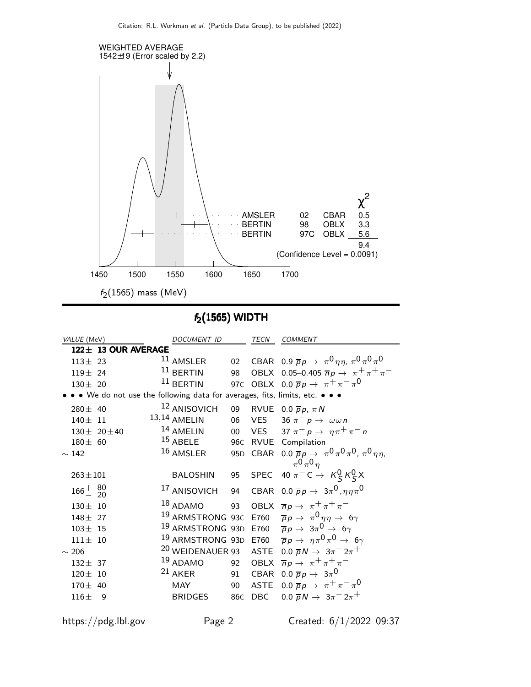

## $f_2(1565)$  WIDTH

| VALUE (MeV)                                                                 | <b>DOCUMENT ID</b>          |                 | <b>TECN</b> | <b>COMMENT</b>                                                                                    |  |  |  |
|-----------------------------------------------------------------------------|-----------------------------|-----------------|-------------|---------------------------------------------------------------------------------------------------|--|--|--|
| 122± 13 OUR AVERAGE                                                         |                             |                 |             |                                                                                                   |  |  |  |
| $113 \pm 23$                                                                | $11$ AMSLER                 |                 |             | 02 CBAR 0.9 $\bar{p}p \to \pi^0 \eta \eta$ , $\pi^0 \pi^0 \pi^0$                                  |  |  |  |
| $119 \pm 24$                                                                | $11$ BERTIN                 | 98              |             | OBLX 0.05-0.405 $\overline{n}p \to \pi^+\pi^+\pi^-$                                               |  |  |  |
| $130 \pm 20$                                                                | $11$ BERTIN                 |                 |             | 97C OBLX 0.0 $\overline{p}p \rightarrow \pi^+\pi^-\pi^0$                                          |  |  |  |
| • • We do not use the following data for averages, fits, limits, etc. • • • |                             |                 |             |                                                                                                   |  |  |  |
| $280 \pm 40$                                                                | <sup>12</sup> ANISOVICH     | 09              |             | RVUE 0.0 $\overline{p}p$ , $\pi N$                                                                |  |  |  |
| $140 \pm 11$                                                                | 13,14 AMELIN                | 06              |             | VES 36 $\pi^- p \to \omega \omega n$                                                              |  |  |  |
| $130 \pm 20 \pm 40$                                                         | 14 AMELIN                   | 00              |             | VES 37 $\pi^- p \rightarrow \eta \pi^+ \pi^- n$                                                   |  |  |  |
| $180 \pm 60$                                                                | $15$ ABELE                  | 96 <sub>C</sub> |             | RVUE Compilation                                                                                  |  |  |  |
| $\sim$ 142                                                                  | 16 AMSLER                   |                 |             | 95D CBAR 0.0 $\overline{p}p \to \pi^0 \pi^0 \pi^0$ , $\pi^0 \eta \eta$ ,<br>$\pi^0 \pi^0 \eta$    |  |  |  |
| $263 \pm 101$                                                               | <b>BALOSHIN</b>             |                 |             | 95 SPEC 40 $\pi^-$ C $\rightarrow$ $K^0_S K^0_S X$                                                |  |  |  |
| $166^{+}_{-}$ $^{80}_{20}$                                                  | <sup>17</sup> ANISOVICH     | 94              |             | CBAR 0.0 $\overline{p}p \rightarrow 3\pi^0, \eta\eta\pi^0$                                        |  |  |  |
| $130 \pm 10$                                                                | $18$ ADAMO                  | 93              |             | OBLX $\overline{n}p \rightarrow \pi^+\pi^+\pi^-$                                                  |  |  |  |
| $148 \pm 27$                                                                | <sup>19</sup> ARMSTRONG 93C |                 |             | E760 $\overline{p}p \rightarrow \pi^0 \eta \eta \rightarrow 6\gamma$                              |  |  |  |
| $103 \pm 15$                                                                | <sup>19</sup> ARMSTRONG 93D |                 |             | E760 $\overline{p}p\rightarrow 3\pi^{0}\rightarrow 6\gamma$                                       |  |  |  |
| $111 \pm 10$                                                                |                             |                 |             | <sup>19</sup> ARMSTRONG 93D E760 $\overline{p}p \rightarrow \eta \pi^0 \pi^0 \rightarrow 6\gamma$ |  |  |  |
| $\sim$ 206                                                                  | <sup>20</sup> WEIDENAUER 93 |                 |             | ASTE $0.0 \overline{p}N \rightarrow 3\pi^{-}2\pi^{+}$                                             |  |  |  |
| $132 \pm 37$                                                                | 19 ADAMO                    | 92              |             | OBLX $\overline{n}p \rightarrow \pi^+\pi^+\pi^-$                                                  |  |  |  |
| $120 \pm 10$                                                                | $21$ AKER                   | 91              |             | CBAR 0.0 $\overline{p}p \rightarrow 3\pi^0$                                                       |  |  |  |
| $170 \pm 40$                                                                | <b>MAY</b>                  | 90              | ASTE        | $0.0 \, \bar{p} \, p \to \pi^+ \pi^- \pi^0$                                                       |  |  |  |
| $116\pm$<br>9                                                               | <b>BRIDGES</b>              | 86C             | DBC         | $0.0 \, \bar{p} N \to 3\pi^{-} 2\pi^{+}$                                                          |  |  |  |

https://pdg.lbl.gov Page 2 Created: 6/1/2022 09:37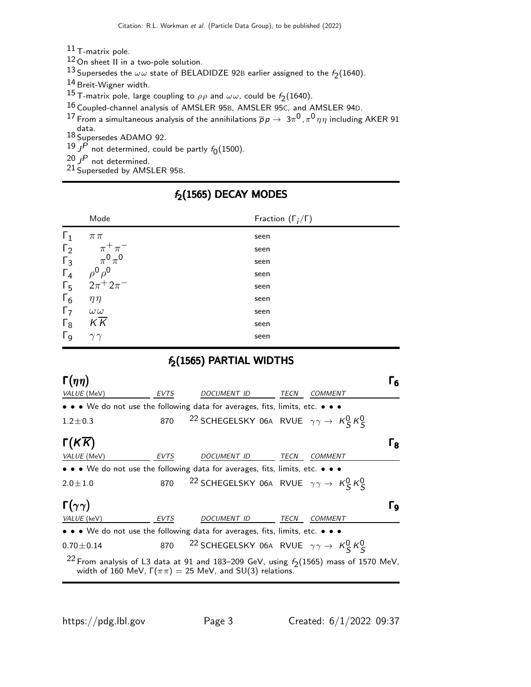11 T-matrix pole.

12 On sheet II in a two-pole solution.

 $^{13}$  Supersedes the  $\omega\omega$  state of BELADIDZE 92B earlier assigned to the  $f_2(1640)$ .

14 Breit-Wigner width.

15 T-matrix pole, large coupling to  $\rho \rho$  and  $\omega \omega$ , could be  $f_2(1640)$ .

16 Coupled-channel analysis of AMSLER 95B, AMSLER 95C, and AMSLER 94D.

 $^{17}$  From a simultaneous analysis of the annihilations  $\overline{p} \, p \to \, 3 \pi^0$  ,  $\pi^0 \, \eta \, \eta$  including <code>AKER 91</code>

data. 18 Supersedes ADAMO 92.

 $^{19}$  J<sup>P</sup> not determined, could be partly  $f_0(1500)$ .

 $^{20}$  J<sup>P</sup> not determined.

21 Superseded by AMSLER 95B.

#### Mode Fraction  $(\Gamma_j/\Gamma)$  $\Gamma_1$   $\pi \pi$  seen  $\Gamma_2$  $\pi^+\pi^-$ −<br>− seen  $\Gamma_3$  $0\pi^0$ seen Γ<sub>4</sub><br>Γ<sub>5</sub>  $^0\rho^0$ seen  $Γ_5$  2π<sup>+</sup>2π −<br>− seen  $\Gamma_6$   $\eta \eta$  seen Γ<sub>7</sub>  $ω\omega$  seen  $\overline{K}$  seen Γg  $\gamma\gamma$  seen

# $f_2(1565)$  DECAY MODES

### $f_2(1565)$  PARTIAL WIDTHS

| $\Gamma(\eta\eta)$     |      |                                                                                                                                                                         |             |                | Г6 |
|------------------------|------|-------------------------------------------------------------------------------------------------------------------------------------------------------------------------|-------------|----------------|----|
| VALUE (MeV)            | EVTS | DOCUMENT ID                                                                                                                                                             | TECN        | <b>COMMENT</b> |    |
|                        |      | $\bullet \bullet \bullet$ We do not use the following data for averages, fits, limits, etc. $\bullet \bullet \bullet$                                                   |             |                |    |
| $1.2 \pm 0.3$          |      | 870 <sup>22</sup> SCHEGELSKY 06A RVUE $\gamma \gamma \rightarrow K_S^0 K_S^0$                                                                                           |             |                |    |
| $\Gamma(KK)$           |      |                                                                                                                                                                         |             |                | Гв |
| <i>VALUE</i> (MeV)     | EVTS | DOCUMENT ID                                                                                                                                                             | TECN        | <b>COMMENT</b> |    |
|                        |      | $\bullet \bullet \bullet$ We do not use the following data for averages, fits, limits, etc. $\bullet \bullet \bullet$                                                   |             |                |    |
| $2.0 \pm 1.0$          |      | 870 <sup>22</sup> SCHEGELSKY 06A RVUE $\gamma \gamma \rightarrow K_S^0 K_S^0$                                                                                           |             |                |    |
| $\Gamma(\gamma\gamma)$ |      |                                                                                                                                                                         |             |                | Γq |
| VALUE (keV)            | EVTS | DOCUMENT ID                                                                                                                                                             | <b>TECN</b> | <b>COMMENT</b> |    |
|                        |      | $\bullet \bullet \bullet$ We do not use the following data for averages, fits, limits, etc. $\bullet \bullet \bullet$                                                   |             |                |    |
| $0.70 \pm 0.14$        | 870  | $^{22}$ SCHEGELSKY 06A RVUE $\gamma\gamma\rightarrow\ K$ <sub>S</sub> $\kappa$ <sup>O</sup> S                                                                           |             |                |    |
|                        |      | <sup>22</sup> From analysis of L3 data at 91 and 183–209 GeV, using $f_2(1565)$ mass of 1570 MeV,<br>width of 160 MeV, $\Gamma(\pi \pi) = 25$ MeV, and SU(3) relations. |             |                |    |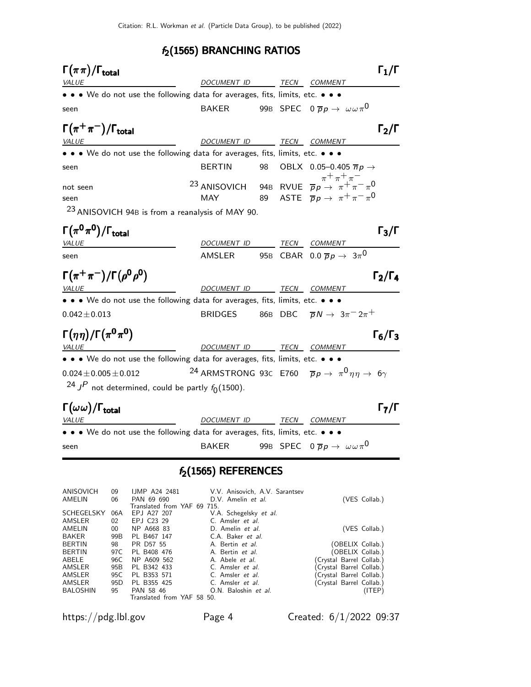## $f_2(1565)$  BRANCHING RATIOS

| $\Gamma(\pi\pi)/\Gamma_{\rm total}$                                                                                   |                          |    |                                                                                                                                                                                                                                             | $\Gamma_1/\Gamma$                   |
|-----------------------------------------------------------------------------------------------------------------------|--------------------------|----|---------------------------------------------------------------------------------------------------------------------------------------------------------------------------------------------------------------------------------------------|-------------------------------------|
| <b>VALUE</b>                                                                                                          | DOCUMENT ID TECN COMMENT |    |                                                                                                                                                                                                                                             |                                     |
| • • • We do not use the following data for averages, fits, limits, etc. • • •                                         |                          |    |                                                                                                                                                                                                                                             |                                     |
| seen                                                                                                                  | <b>BAKER</b>             |    | 99B SPEC $0 \overline{p} p \rightarrow \omega \omega \pi^0$                                                                                                                                                                                 |                                     |
| $\Gamma(\pi^+\pi^-)/\Gamma_{\rm total}$                                                                               |                          |    |                                                                                                                                                                                                                                             | $\mathsf{\Gamma_2}/\mathsf{\Gamma}$ |
| <i>VALUE</i>                                                                                                          | DOCUMENT ID TECN COMMENT |    |                                                                                                                                                                                                                                             |                                     |
| • • We do not use the following data for averages, fits, limits, etc. • • •                                           |                          |    |                                                                                                                                                                                                                                             |                                     |
| seen                                                                                                                  | <b>BERTIN</b>            | 98 | OBLX 0.05-0.405 $\overline{n}p \rightarrow$                                                                                                                                                                                                 |                                     |
| not seen                                                                                                              |                          |    | <sup>7+</sup> $\pi$ <sup>+</sup> $\pi$ <sup>+</sup> $\pi$ <sup>-</sup> $\pi$ <sup>+</sup> $\pi$ <sup>-</sup> $\pi$ <sup>0</sup><br>23 ANISOVICH 94B RVUE $\overline{p}p \rightarrow \pi$ <sup>+</sup> $\pi$ <sup>-</sup> $\pi$ <sup>0</sup> |                                     |
| seen                                                                                                                  | MAY                      |    | 89 ASTE $\overline{p}p \rightarrow \pi^+\pi^-\pi^0$                                                                                                                                                                                         |                                     |
| <sup>23</sup> ANISOVICH 94B is from a reanalysis of MAY 90.                                                           |                          |    |                                                                                                                                                                                                                                             |                                     |
| $\Gamma(\pi^0\pi^0)/\Gamma_{\rm total}$                                                                               |                          |    |                                                                                                                                                                                                                                             | $\Gamma_3/\Gamma$                   |
| VALUE                                                                                                                 | DOCUMENT ID TECN COMMENT |    |                                                                                                                                                                                                                                             |                                     |
| seen                                                                                                                  | AMSLER                   |    | 95B CBAR 0.0 $\overline{p}p \rightarrow 3\pi^0$                                                                                                                                                                                             |                                     |
| $\Gamma(\pi^+\pi^-)/\Gamma(\rho^0\rho^0)$                                                                             |                          |    |                                                                                                                                                                                                                                             | $\Gamma_2/\Gamma_4$                 |
| <u>VALUE</u><br><u> 1989 - Johann Barbara, martxa alemaniar a</u>                                                     | DOCUMENT ID TECN COMMENT |    |                                                                                                                                                                                                                                             |                                     |
| $\bullet \bullet \bullet$ We do not use the following data for averages, fits, limits, etc. $\bullet \bullet \bullet$ |                          |    |                                                                                                                                                                                                                                             |                                     |
| $0.042 \pm 0.013$                                                                                                     | <b>BRIDGES</b>           |    | 86B DBC $\overline{p}N \rightarrow 3\pi^{-}2\pi^{+}$                                                                                                                                                                                        |                                     |
| $\Gamma(\eta\eta)/\Gamma(\pi^0\pi^0)$                                                                                 |                          |    |                                                                                                                                                                                                                                             | $\Gamma_6/\Gamma_3$                 |
| <i>VALUE</i>                                                                                                          | DOCUMENT ID TECN COMMENT |    |                                                                                                                                                                                                                                             |                                     |
| • • We do not use the following data for averages, fits, limits, etc. • • •                                           |                          |    |                                                                                                                                                                                                                                             |                                     |
| $0.024 \pm 0.005 \pm 0.012$                                                                                           |                          |    | <sup>24</sup> ARMSTRONG 93C E760 $\overline{p}p \rightarrow \pi^0 \eta \eta \rightarrow 6\gamma$                                                                                                                                            |                                     |
| <sup>24</sup> J <sup>P</sup> not determined, could be partly $f_0(1500)$ .                                            |                          |    |                                                                                                                                                                                                                                             |                                     |
| $\Gamma(\omega\omega)/\Gamma_{\rm total}$                                                                             |                          |    |                                                                                                                                                                                                                                             | $\mathsf{\Gamma}_7/\mathsf{\Gamma}$ |
| <b>VALUE</b>                                                                                                          | DOCUMENT ID TECN COMMENT |    |                                                                                                                                                                                                                                             |                                     |
| • • • We do not use the following data for averages, fits, limits, etc. • • •                                         |                          |    |                                                                                                                                                                                                                                             |                                     |
| seen                                                                                                                  | <b>BAKER</b>             |    | 99B SPEC $0 \overline{p} p \rightarrow \omega \omega \pi^0$                                                                                                                                                                                 |                                     |
|                                                                                                                       |                          |    |                                                                                                                                                                                                                                             |                                     |

## $f_2(1565)$  REFERENCES

| ANISOVICH         | 09              | <b>IJMP A24 2481</b>        | V.V. Anisovich, A.V. Sarantsev |                          |
|-------------------|-----------------|-----------------------------|--------------------------------|--------------------------|
| AMELIN            | 06              | PAN 69 690                  | D.V. Amelin et al.             | (VES Collab.)            |
|                   |                 | Translated from YAF 69 715. |                                |                          |
| <b>SCHEGELSKY</b> | 06A             | EPJ A27 207                 | V.A. Schegelsky et al.         |                          |
| AMSLER            | 02              | EPJ C23 29                  | C. Amsler <i>et al.</i>        |                          |
| AMELIN            | 00              | NP A668 83                  | D. Amelin et al.               | (VES Collab.)            |
| <b>BAKER</b>      | 99B             | PL B467 147                 | C.A. Baker et al.              |                          |
| <b>BERTIN</b>     | 98              | PR D57 55                   | A. Bertin et al.               | (OBELIX Collab.)         |
| <b>BERTIN</b>     | 97C             | PL B408 476                 | A. Bertin <i>et al.</i>        | (OBELIX Collab.)         |
| ABELE             | 96C             | NP A609 562                 | A. Abele et al.                | (Crystal Barrel Collab.) |
| AMSLER            | 95B             | PL B342 433                 | C. Amsler et al.               | (Crystal Barrel Collab.) |
| AMSLER            | 95C             | PL B353 571                 | C. Amsler et al.               | (Crystal Barrel Collab.) |
| AMSLER            | 95 <sub>D</sub> | PL B355 425                 | C. Amsler et al.               | (Crystal Barrel Collab.) |
| <b>BALOSHIN</b>   | 95              | PAN 58 46                   | O.N. Baloshin et al.           | (ITER)                   |
|                   |                 | Translated from YAF 58 50.  |                                |                          |
|                   |                 |                             |                                |                          |